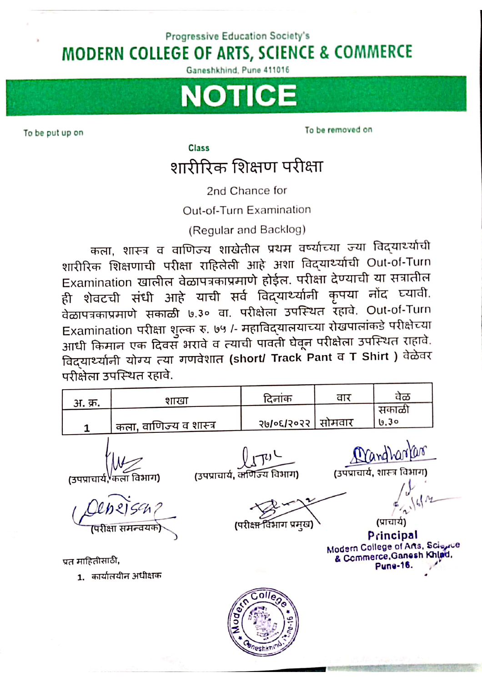## Progressive Education Society's **MODERN COLLEGE OF ARTS, SCIENCE & COMMERCE**

Ganeshkhind, Pune 411016



To be put up on

To be removed on

Class

## शारीरिक शिक्षण परीक्षा

2nd Chance for

Out-of-Turn Examination

(Regular and Backlog)

कला, शास्त्र व वाणिज्य शाखेतील प्रथम वर्ष्याच्या ज्या विद्यार्थ्याची शारीरिक शिक्षणाची परीक्षा राहिलेली आहे अशा विद्यार्थ्याची Out-of-Turn Examination खालील वेळापत्रकाप्रमाणे होईल. परीक्षा देण्याची या सत्रातील ही शेवटची संधी आहे याची सर्व विद्र्यार्थ्यांनी कृपया नोंद घ्यावी. वेळापत्रकाप्रमाणे सकाळी ७.३० वा. परीक्षेला उपस्थित रहावे. Out-of-Turn Examination परीक्षा शुल्क रु. ७५ /- महाविद्यालयाच्या रोखपालांकडे परीक्षेच्या आधी किमान एक दिवस भरावे व त्याची पावती घेवून परीक्षेता उपस्थित राहावे. विद्यार्थ्यानी योग्य त्या गणवेशात (short/ Track Pant व T Shirt) वेळेवर परीक्षेता उपस्थित रहावे.

| अ. क्र.          | शाखा                                                                     | दिनांक                                                  | वार    | वेळ                                                                                          |  |
|------------------|--------------------------------------------------------------------------|---------------------------------------------------------|--------|----------------------------------------------------------------------------------------------|--|
|                  |                                                                          |                                                         |        | सकाळी                                                                                        |  |
|                  | कला, वाणिज्य व शास्त्र                                                   | २७/०६/२०२२                                              | सोमवार | 0.30                                                                                         |  |
|                  | (उपप्राचार्य, <sup>V</sup> कला विभाग)<br>$e$ pejsa?<br>(परीक्षा समन्वयक) | (उपप्राचार्य, क्लिज्य विभाग)<br>(परीक्ष्म विभाग प्रमुख) |        | Mandharlar<br>(उपप्राचार्य, शास्त्र विभाग)<br>(प्राचाये)                                     |  |
| प्रत माहितीसाठी. |                                                                          |                                                         |        | Principal<br>Modern College of Arts, Science<br>& Commerce, Ganesh Khind,<br><b>Pune-16.</b> |  |
|                  | 1.  कार्यालयीन अधीक्षक                                                   |                                                         |        |                                                                                              |  |